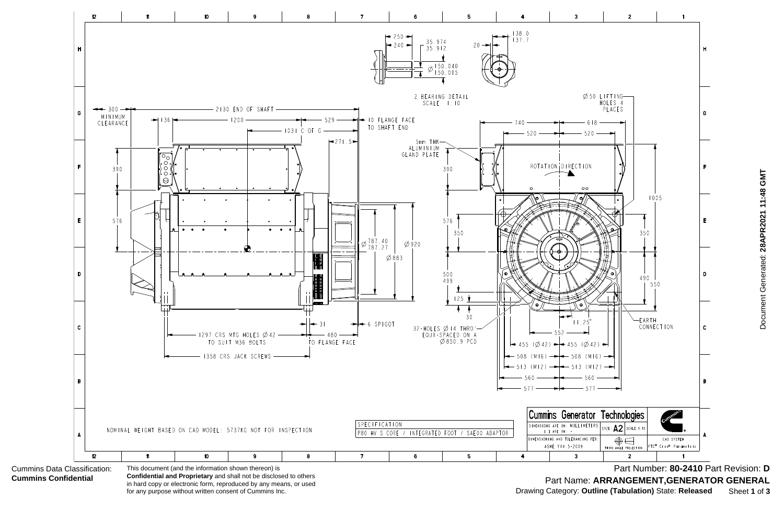

**Confidential and Proprietary** and shall not be disclosed to others in hard copy or electronic form, reproduced by any means, or used for any purpose without written consent of Cummins Inc.

Document Generated: 28APR2021 11:48 GMT Document Generated: **28APR2021 11:48 GMT**

Part Number: **80-2410** Part Revision: **D** Part Name: **ARRANGEMENT,GENERATOR GENERAL** Drawing Category: **Outline (Tabulation)** State: **Released** Sheet **1** of **3**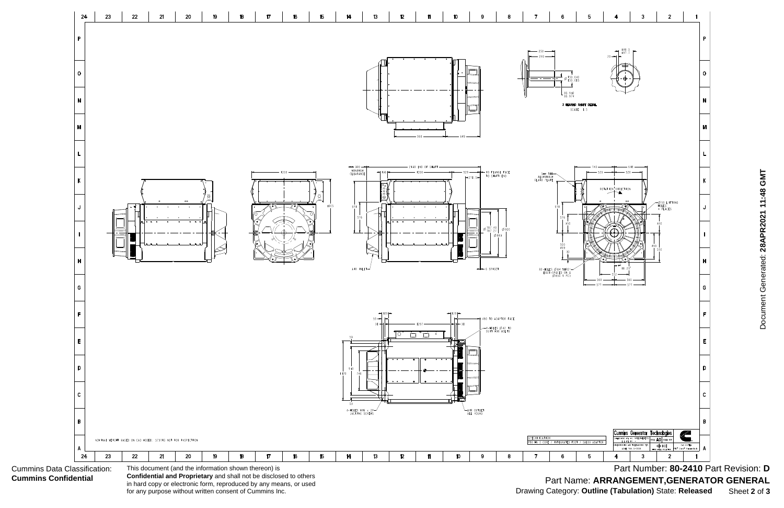Cummins Data Classification: **Cummins Confidential**



**Confidential and Proprietary** and shall not be disclosed to others in hard copy or electronic form, reproduced by any means, or used for any purpose without written consent of Cummins Inc.

Document Generated: 28APR2021 11:48 GMT Document Generated: **28APR2021 11:48 GMT**

Part Number: **80-2410** Part Revision: **D** Part Name: **ARRANGEMENT,GENERATOR GENERAL** Drawing Category: **Outline (Tabulation)** State: **Released** Sheet **2** of **3**